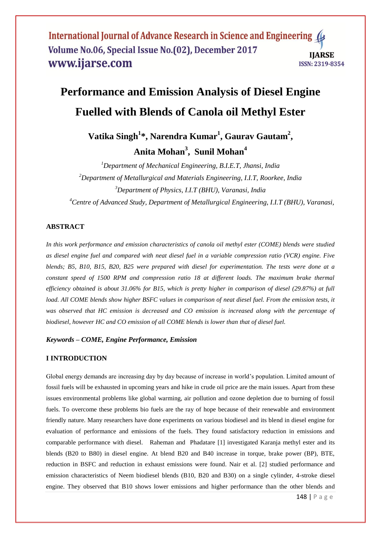# **Performance and Emission Analysis of Diesel Engine Fuelled with Blends of Canola oil Methyl Ester**

# **Vatika Singh<sup>1</sup> \*, Narendra Kumar<sup>1</sup> , Gaurav Gautam<sup>2</sup> , Anita Mohan<sup>3</sup> , Sunil Mohan<sup>4</sup>**

*Department of Mechanical Engineering, B.I.E.T, Jhansi, India Department of Metallurgical and Materials Engineering, I.I.T, Roorkee, India Department of Physics, I.I.T (BHU), Varanasi, India Centre of Advanced Study, Department of Metallurgical Engineering, I.I.T (BHU), Varanasi,* 

# **ABSTRACT**

*In this work performance and emission characteristics of canola oil methyl ester (COME) blends were studied as diesel engine fuel and compared with neat diesel fuel in a variable compression ratio (VCR) engine. Five blends; B5, B10, B15, B20, B25 were prepared with diesel for experimentation. The tests were done at a constant speed of 1500 RPM and compression ratio 18 at different loads. The maximum brake thermal efficiency obtained is about 31.06% for B15, which is pretty higher in comparison of diesel (29.87%) at full*  load. All COME blends show higher BSFC values in comparison of neat diesel fuel. From the emission tests, it *was observed that HC emission is decreased and CO emission is increased along with the percentage of biodiesel, however HC and CO emission of all COME blends is lower than that of diesel fuel.*

### *Keywords* **–** *COME, Engine Performance, Emission*

#### **I INTRODUCTION**

Global energy demands are increasing day by day because of increase in world's population. Limited amount of fossil fuels will be exhausted in upcoming years and hike in crude oil price are the main issues. Apart from these issues environmental problems like global warming, air pollution and ozone depletion due to burning of fossil fuels. To overcome these problems bio fuels are the ray of hope because of their renewable and environment friendly nature. Many researchers have done experiments on various biodiesel and its blend in diesel engine for evaluation of performance and emissions of the fuels. They found satisfactory reduction in emissions and comparable performance with diesel. Raheman and Phadatare [1] investigated Karanja methyl ester and its blends (B20 to B80) in diesel engine. At blend B20 and B40 increase in torque, brake power (BP), BTE, reduction in BSFC and reduction in exhaust emissions were found. Nair et al. [2] studied performance and emission characteristics of Neem biodiesel blends (B10, B20 and B30) on a single cylinder, 4-stroke diesel engine. They observed that B10 shows lower emissions and higher performance than the other blends and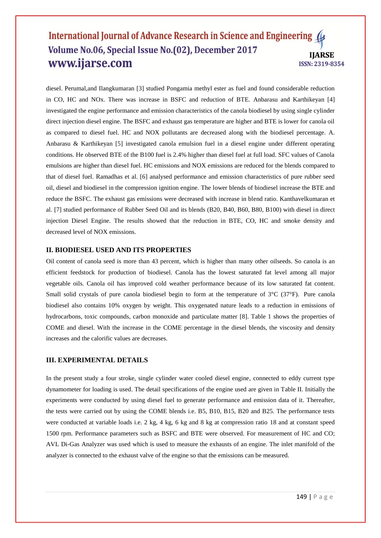diesel. Perumal,and Ilangkumaran [3] studied Pongamia methyl ester as fuel and found considerable reduction in CO, HC and NOx. There was increase in BSFC and reduction of BTE. Anbarasu and Karthikeyan [4] investigated the engine performance and emission characteristics of the canola biodiesel by using single cylinder direct injection diesel engine. The BSFC and exhaust gas temperature are higher and BTE is lower for canola oil as compared to diesel fuel. HC and NOX pollutants are decreased along with the biodiesel percentage. A. Anbarasu & Karthikeyan [5] investigated canola emulsion fuel in a diesel engine under different operating conditions. He observed BTE of the B100 fuel is 2.4% higher than diesel fuel at full load. SFC values of Canola emulsions are higher than diesel fuel. HC emissions and NOX emissions are reduced for the blends compared to that of diesel fuel. Ramadhas et al. [6] analysed performance and emission characteristics of pure rubber seed oil, diesel and biodiesel in the compression ignition engine. The lower blends of biodiesel increase the BTE and reduce the BSFC. The exhaust gas emissions were decreased with increase in blend ratio. Kanthavelkumaran et al. [7] studied performance of Rubber Seed Oil and its blends (B20, B40, B60, B80, B100) with diesel in direct injection Diesel Engine. The results showed that the reduction in BTE, CO, HC and smoke density and decreased level of NOX emissions.

#### **II. BIODIESEL USED AND ITS PROPERTIES**

Oil content of canola seed is more than 43 percent, which is higher than many other oilseeds. So canola is an efficient feedstock for production of biodiesel. Canola has the lowest saturated fat level among all major vegetable oils. Canola oil has improved cold weather performance because of its low saturated fat content. Small solid crystals of pure canola biodiesel begin to form at the temperature of 3°C (37°F). Pure canola biodiesel also contains 10% oxygen by weight. This oxygenated nature leads to a reduction in emissions of hydrocarbons, toxic compounds, carbon monoxide and particulate matter [8]. Table 1 shows the properties of COME and diesel. With the increase in the COME percentage in the diesel blends, the viscosity and density increases and the calorific values are decreases.

#### **III. EXPERIMENTAL DETAILS**

In the present study a four stroke, single cylinder water cooled diesel engine, connected to eddy current type dynamometer for loading is used. The detail specifications of the engine used are given in Table II. Initially the experiments were conducted by using diesel fuel to generate performance and emission data of it. Thereafter, the tests were carried out by using the COME blends i.e. B5, B10, B15, B20 and B25. The performance tests were conducted at variable loads i.e. 2 kg, 4 kg, 6 kg and 8 kg at compression ratio 18 and at constant speed 1500 rpm. Performance parameters such as BSFC and BTE were observed. For measurement of HC and CO; AVL Di-Gas Analyzer was used which is used to measure the exhausts of an engine. The inlet manifold of the analyzer is connected to the exhaust valve of the engine so that the emissions can be measured.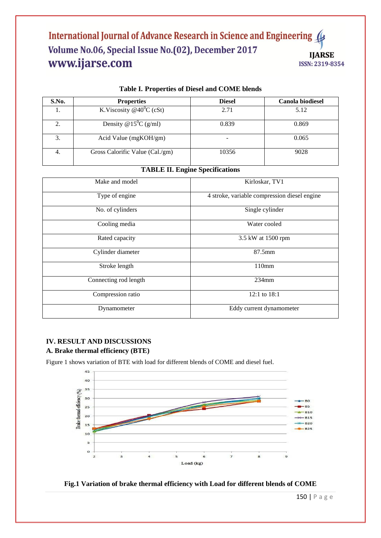| S.No. | <b>Properties</b>                    | <b>Diesel</b> | <b>Canola biodiesel</b> |
|-------|--------------------------------------|---------------|-------------------------|
|       | K.Viscosity @40 <sup>0</sup> C (cSt) | 2.71          | 5.12                    |
| 2.    | Density @ $15^{\circ}$ C (g/ml)      | 0.839         | 0.869                   |
|       | Acid Value ( $mgKOH/gm$ )            |               | 0.065                   |
| 4.    | Gross Calorific Value (Cal./gm)      | 10356         | 9028                    |

# **Table I. Properties of Diesel and COME blends**

# **TABLE II. Engine Specifications**

| Make and model        | Kirloskar, TV1                               |  |
|-----------------------|----------------------------------------------|--|
| Type of engine        | 4 stroke, variable compression diesel engine |  |
| No. of cylinders      | Single cylinder                              |  |
| Cooling media         | Water cooled                                 |  |
| Rated capacity        | 3.5 kW at 1500 rpm                           |  |
| Cylinder diameter     | $87.5$ mm                                    |  |
| Stroke length         | 110mm                                        |  |
| Connecting rod length | $234$ mm                                     |  |
| Compression ratio     | 12:1 to $18:1$                               |  |
| Dynamometer           | Eddy current dynamometer                     |  |

# **IV. RESULT AND DISCUSSIONS A. Brake thermal efficiency (BTE)**

Figure 1 shows variation of BTE with load for different blends of COME and diesel fuel.



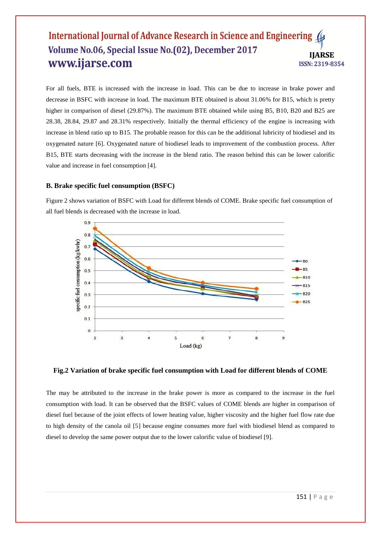For all fuels, BTE is increased with the increase in load. This can be due to increase in brake power and decrease in BSFC with increase in load. The maximum BTE obtained is about 31.06% for B15, which is pretty higher in comparison of diesel (29.87%). The maximum BTE obtained while using B5, B10, B20 and B25 are 28.38, 28.84, 29.87 and 28.31% respectively. Initially the thermal efficiency of the engine is increasing with increase in blend ratio up to B15. The probable reason for this can be the additional lubricity of biodiesel and its oxygenated nature [6]. Oxygenated nature of biodiesel leads to improvement of the combustion process. After B15, BTE starts decreasing with the increase in the blend ratio. The reason behind this can be lower calorific value and increase in fuel consumption [4].

#### **B. Brake specific fuel consumption (BSFC)**

Figure 2 shows variation of BSFC with Load for different blends of COME. Brake specific fuel consumption of all fuel blends is decreased with the increase in load.



#### **Fig.2 Variation of brake specific fuel consumption with Load for different blends of COME**

The may be attributed to the increase in the brake power is more as compared to the increase in the fuel consumption with load. It can be observed that the BSFC values of COME blends are higher in comparison of diesel fuel because of the joint effects of lower heating value, higher viscosity and the higher fuel flow rate due to high density of the canola oil [5] because engine consumes more fuel with biodiesel blend as compared to diesel to develop the same power output due to the lower calorific value of biodiesel [9].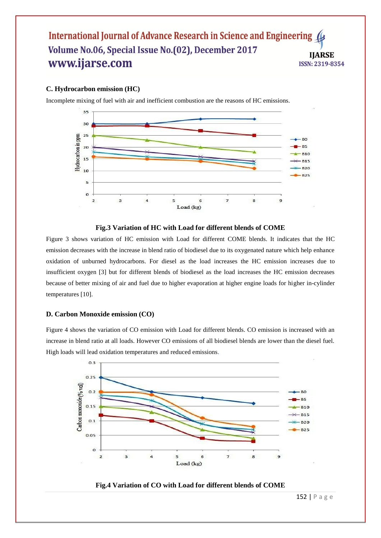# **C. Hydrocarbon emission (HC)**

Incomplete mixing of fuel with air and inefficient combustion are the reasons of HC emissions.



#### **Fig.3 Variation of HC with Load for different blends of COME**

Figure 3 shows variation of HC emission with Load for different COME blends. It indicates that the HC emission decreases with the increase in blend ratio of biodiesel due to its oxygenated nature which help enhance oxidation of unburned hydrocarbons. For diesel as the load increases the HC emission increases due to insufficient oxygen [3] but for different blends of biodiesel as the load increases the HC emission decreases because of better mixing of air and fuel due to higher evaporation at higher engine loads for higher in-cylinder temperatures [10].

#### **D. Carbon Monoxide emission (CO)**

Figure 4 shows the variation of CO emission with Load for different blends. CO emission is increased with an increase in blend ratio at all loads. However CO emissions of all biodiesel blends are lower than the diesel fuel. High loads will lead oxidation temperatures and reduced emissions.



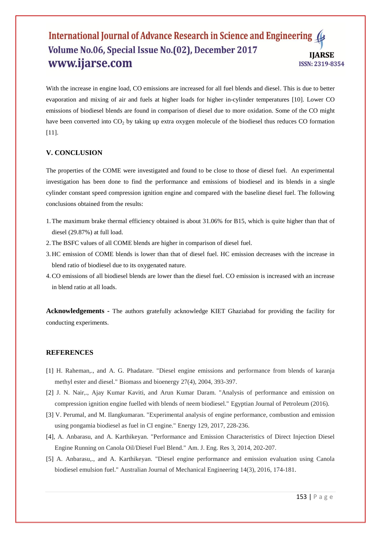With the increase in engine load, CO emissions are increased for all fuel blends and diesel. This is due to better evaporation and mixing of air and fuels at higher loads for higher in-cylinder temperatures [10]. Lower CO emissions of biodiesel blends are found in comparison of diesel due to more oxidation. Some of the CO might have been converted into CO<sub>2</sub> by taking up extra oxygen molecule of the biodiesel thus reduces CO formation [11].

# **V. CONCLUSION**

The properties of the COME were investigated and found to be close to those of diesel fuel. An experimental investigation has been done to find the performance and emissions of biodiesel and its blends in a single cylinder constant speed compression ignition engine and compared with the baseline diesel fuel. The following conclusions obtained from the results:

- 1.The maximum brake thermal efficiency obtained is about 31.06% for B15, which is quite higher than that of diesel (29.87%) at full load.
- 2.The BSFC values of all COME blends are higher in comparison of diesel fuel.
- 3. HC emission of COME blends is lower than that of diesel fuel. HC emission decreases with the increase in blend ratio of biodiesel due to its oxygenated nature.
- 4.CO emissions of all biodiesel blends are lower than the diesel fuel. CO emission is increased with an increase in blend ratio at all loads.

**Acknowledgements -** The authors gratefully acknowledge KIET Ghaziabad for providing the facility for conducting experiments.

#### **REFERENCES**

- [1] H. Raheman,., and A. G. Phadatare. "Diesel engine emissions and performance from blends of karanja methyl ester and diesel." Biomass and bioenergy 27(4), 2004, 393-397.
- [2] J. N. Nair,., Ajay Kumar Kaviti, and Arun Kumar Daram. "Analysis of performance and emission on compression ignition engine fuelled with blends of neem biodiesel." Egyptian Journal of Petroleum (2016).
- [3] V. Perumal, and M. Ilangkumaran. "Experimental analysis of engine performance, combustion and emission using pongamia biodiesel as fuel in CI engine." Energy 129, 2017, 228-236.
- [4], A. Anbarasu, and A. Karthikeyan. "Performance and Emission Characteristics of Direct Injection Diesel Engine Running on Canola Oil/Diesel Fuel Blend." Am. J. Eng. Res 3, 2014, 202-207.
- [5] A. Anbarasu,., and A. Karthikeyan. "Diesel engine performance and emission evaluation using Canola biodiesel emulsion fuel." Australian Journal of Mechanical Engineering 14(3), 2016, 174-181.